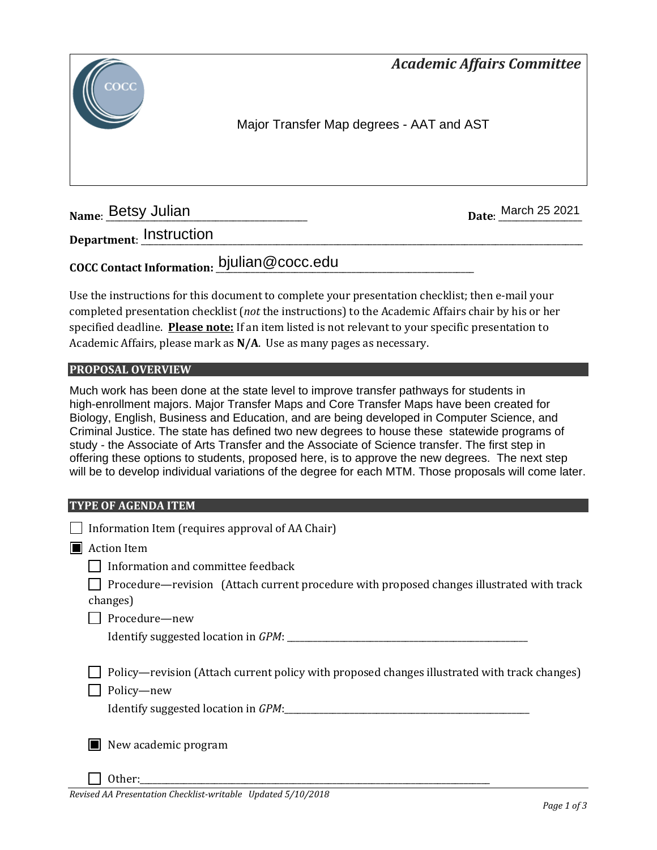*Academic Affairs Committee* 



Major Transfer Map degrees - AAT and AST

**Name: Betsy Julian** 

Date: March 25 2021

**Department**: \_\_\_\_\_\_\_\_\_\_\_\_\_\_\_\_\_\_\_\_\_\_\_\_\_\_\_\_\_\_\_\_\_\_\_\_\_\_\_\_\_\_\_\_\_\_\_\_\_\_\_\_\_\_\_\_\_\_\_\_\_\_\_\_\_\_\_\_\_\_\_\_\_\_\_\_\_\_\_\_\_\_\_\_\_\_\_\_\_\_\_\_\_\_\_\_\_\_\_\_\_ Instruction

### **COCC Contact Information:** \_\_\_\_\_\_\_\_\_\_\_\_\_\_\_\_\_\_\_\_\_\_\_\_\_\_\_\_\_\_\_\_\_\_\_\_\_\_\_\_\_\_\_\_\_\_\_\_\_\_\_\_\_\_\_\_\_\_\_ bjulian@cocc.edu

Use the instructions for this document to complete your presentation checklist; then e-mail your completed presentation checklist (*not* the instructions) to the Academic Affairs chair by his or her specified deadline. **Please note:** If an item listed is not relevant to your specific presentation to Academic Affairs, please mark as **N/A**. Use as many pages as necessary.

### **PROPOSAL OVERVIEW**

Much work has been done at the state level to improve transfer pathways for students in high-enrollment majors. Major Transfer Maps and Core Transfer Maps have been created for Biology, English, Business and Education, and are being developed in Computer Science, and Criminal Justice. The state has defined two new degrees to house these statewide programs of study - the Associate of Arts Transfer and the Associate of Science transfer. The first step in offering these options to students, proposed here, is to approve the new degrees. The next step will be to develop individual variations of the degree for each MTM. Those proposals will come later.

#### **TYPE OF AGENDA ITEM**

| Information Item (requires approval of AA Chair)                                                      |
|-------------------------------------------------------------------------------------------------------|
| <b>Action Item</b>                                                                                    |
| Information and committee feedback                                                                    |
| Procedure—revision (Attach current procedure with proposed changes illustrated with track<br>changes) |
| Procedure-new                                                                                         |
|                                                                                                       |
|                                                                                                       |
| Policy—revision (Attach current policy with proposed changes illustrated with track changes)          |
| Policy-new                                                                                            |
|                                                                                                       |
|                                                                                                       |
| $\blacksquare$ New academic program                                                                   |
|                                                                                                       |
| Other:                                                                                                |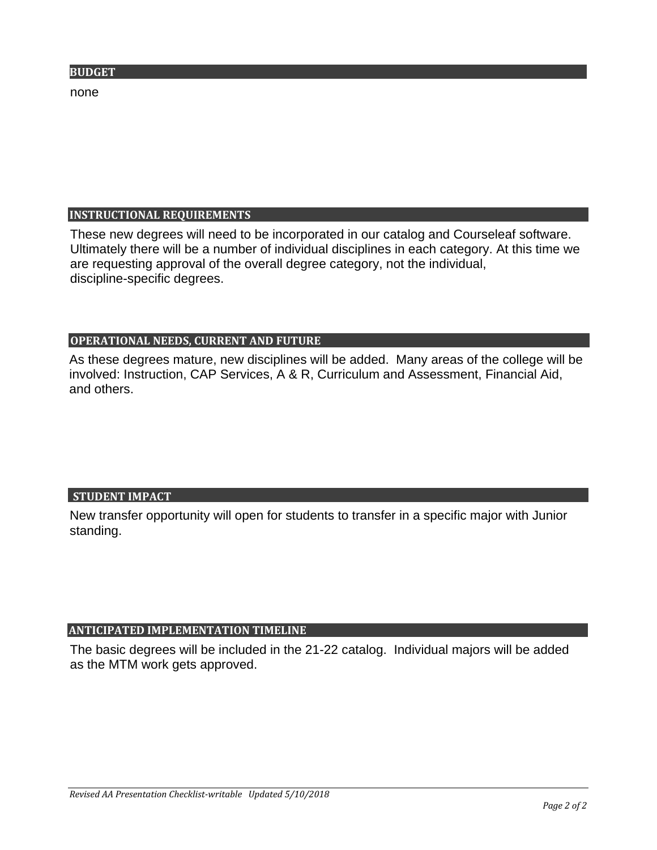none

#### **INSTRUCTIONAL REQUIREMENTS**

These new degrees will need to be incorporated in our catalog and Courseleaf software. Ultimately there will be a number of individual disciplines in each category. At this time we are requesting approval of the overall degree category, not the individual, discipline-specific degrees.

#### **OPERATIONAL NEEDS, CURRENT AND FUTURE**

As these degrees mature, new disciplines will be added. Many areas of the college will be involved: Instruction, CAP Services, A & R, Curriculum and Assessment, Financial Aid, and others.

#### **STUDENT IMPACT**

New transfer opportunity will open for students to transfer in a specific major with Junior standing.

#### **ANTICIPATED IMPLEMENTATION TIMELINE**

The basic degrees will be included in the 21-22 catalog. Individual majors will be added as the MTM work gets approved.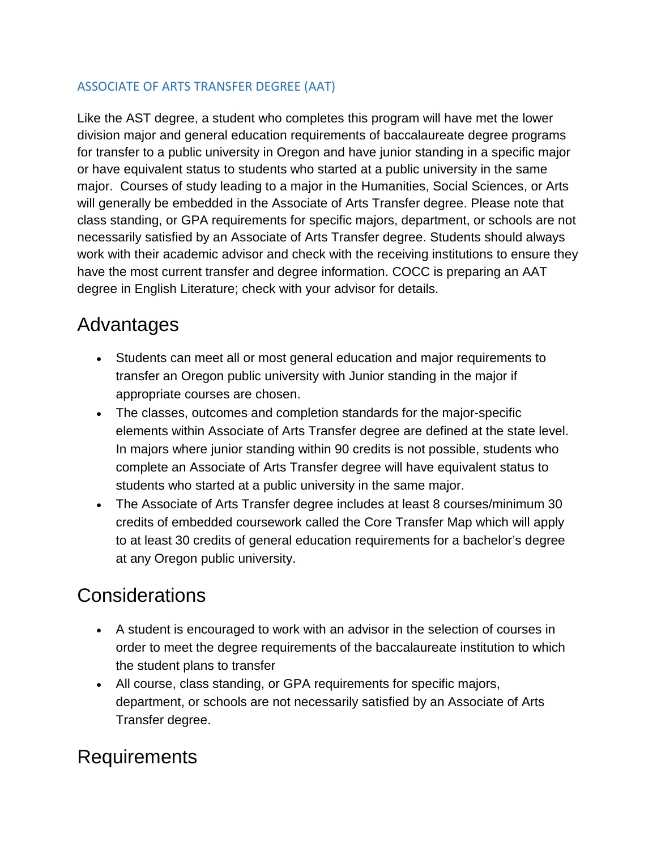### ASSOCIATE OF ARTS TRANSFER DEGREE (AAT)

Like the AST degree, a student who completes this program will have met the lower division major and general education requirements of baccalaureate degree programs for transfer to a public university in Oregon and have junior standing in a specific major or have equivalent status to students who started at a public university in the same major. Courses of study leading to a major in the Humanities, Social Sciences, or Arts will generally be embedded in the Associate of Arts Transfer degree. Please note that class standing, or GPA requirements for specific majors, department, or schools are not necessarily satisfied by an Associate of Arts Transfer degree. Students should always work with their academic advisor and check with the receiving institutions to ensure they have the most current transfer and degree information. COCC is preparing an AAT degree in English Literature; check with your advisor for details.

### Advantages

- Students can meet all or most general education and major requirements to transfer an Oregon public university with Junior standing in the major if appropriate courses are chosen.
- The classes, outcomes and completion standards for the major-specific elements within Associate of Arts Transfer degree are defined at the state level. In majors where junior standing within 90 credits is not possible, students who complete an Associate of Arts Transfer degree will have equivalent status to students who started at a public university in the same major.
- The Associate of Arts Transfer degree includes at least 8 courses/minimum 30 credits of embedded coursework called the Core Transfer Map which will apply to at least 30 credits of general education requirements for a bachelor's degree at any Oregon public university.

### **Considerations**

- A student is encouraged to work with an advisor in the selection of courses in order to meet the degree requirements of the baccalaureate institution to which the student plans to transfer
- All course, class standing, or GPA requirements for specific majors, department, or schools are not necessarily satisfied by an Associate of Arts Transfer degree.

### Requirements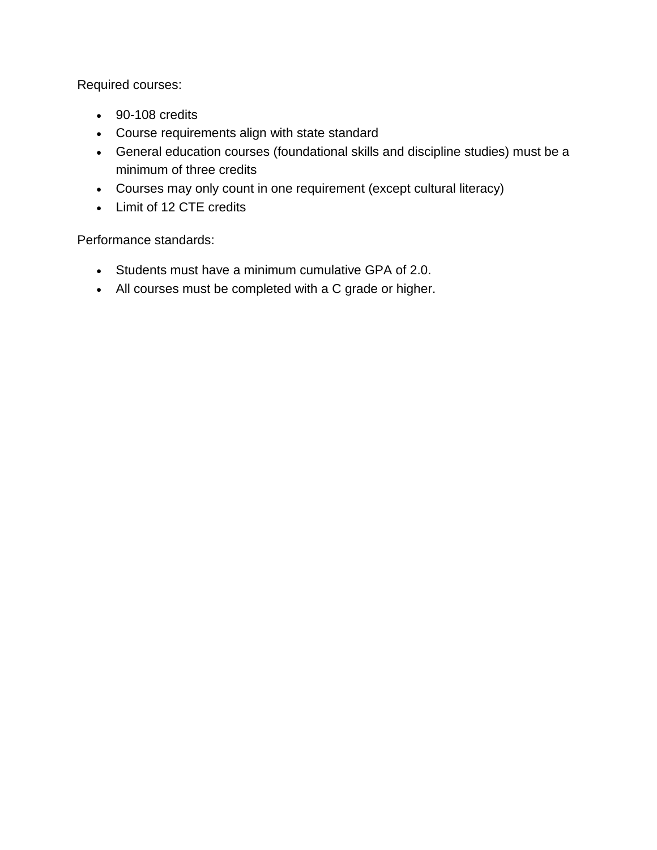Required courses:

- 90-108 credits
- Course requirements align with state standard
- General education courses (foundational skills and discipline studies) must be a minimum of three credits
- Courses may only count in one requirement (except cultural literacy)
- Limit of 12 CTE credits

Performance standards:

- Students must have a minimum cumulative GPA of 2.0.
- All courses must be completed with a C grade or higher.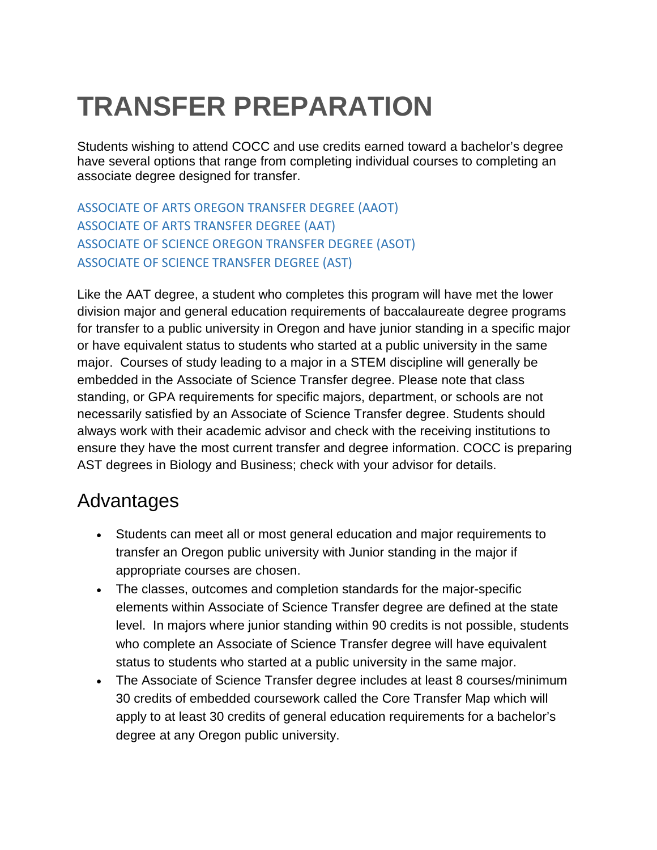# **TRANSFER PREPARATION**

Students wishing to attend COCC and use credits earned toward a bachelor's degree have several options that range from completing individual courses to completing an associate degree designed for transfer.

ASSOCIATE OF ARTS OREGON TRANSFER DEGREE (AAOT) ASSOCIATE OF ARTS TRANSFER DEGREE (AAT) ASSOCIATE OF SCIENCE OREGON TRANSFER DEGREE (ASOT) ASSOCIATE OF SCIENCE TRANSFER DEGREE (AST)

Like the AAT degree, a student who completes this program will have met the lower division major and general education requirements of baccalaureate degree programs for transfer to a public university in Oregon and have junior standing in a specific major or have equivalent status to students who started at a public university in the same major. Courses of study leading to a major in a STEM discipline will generally be embedded in the Associate of Science Transfer degree. Please note that class standing, or GPA requirements for specific majors, department, or schools are not necessarily satisfied by an Associate of Science Transfer degree. Students should always work with their academic advisor and check with the receiving institutions to ensure they have the most current transfer and degree information. COCC is preparing AST degrees in Biology and Business; check with your advisor for details.

### Advantages

- Students can meet all or most general education and major requirements to transfer an Oregon public university with Junior standing in the major if appropriate courses are chosen.
- The classes, outcomes and completion standards for the major-specific elements within Associate of Science Transfer degree are defined at the state level. In majors where junior standing within 90 credits is not possible, students who complete an Associate of Science Transfer degree will have equivalent status to students who started at a public university in the same major.
- The Associate of Science Transfer degree includes at least 8 courses/minimum 30 credits of embedded coursework called the Core Transfer Map which will apply to at least 30 credits of general education requirements for a bachelor's degree at any Oregon public university.